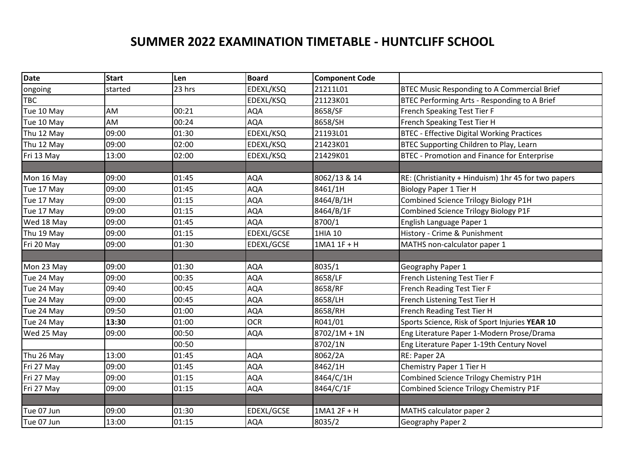## **SUMMER 2022 EXAMINATION TIMETABLE - HUNTCLIFF SCHOOL**

| <b>Date</b> | <b>Start</b> | Len    | <b>Board</b> | <b>Component Code</b> |                                                     |
|-------------|--------------|--------|--------------|-----------------------|-----------------------------------------------------|
| ongoing     | started      | 23 hrs | EDEXL/KSQ    | 21211L01              | <b>BTEC Music Responding to A Commercial Brief</b>  |
| <b>TBC</b>  |              |        | EDEXL/KSQ    | 21123K01              | BTEC Performing Arts - Responding to A Brief        |
| Tue 10 May  | AM           | 00:21  | <b>AQA</b>   | 8658/SF               | French Speaking Test Tier F                         |
| Tue 10 May  | AM           | 00:24  | <b>AQA</b>   | 8658/SH               | French Speaking Test Tier H                         |
| Thu 12 May  | 09:00        | 01:30  | EDEXL/KSQ    | 21193L01              | <b>BTEC - Effective Digital Working Practices</b>   |
| Thu 12 May  | 09:00        | 02:00  | EDEXL/KSQ    | 21423K01              | BTEC Supporting Children to Play, Learn             |
| Fri 13 May  | 13:00        | 02:00  | EDEXL/KSQ    | 21429K01              | <b>BTEC - Promotion and Finance for Enterprise</b>  |
|             |              |        |              |                       |                                                     |
| Mon 16 May  | 09:00        | 01:45  | <b>AQA</b>   | 8062/13 & 14          | RE: (Christianity + Hinduism) 1hr 45 for two papers |
| Tue 17 May  | 09:00        | 01:45  | <b>AQA</b>   | 8461/1H               | <b>Biology Paper 1 Tier H</b>                       |
| Tue 17 May  | 09:00        | 01:15  | <b>AQA</b>   | 8464/B/1H             | Combined Science Trilogy Biology P1H                |
| Tue 17 May  | 09:00        | 01:15  | <b>AQA</b>   | 8464/B/1F             | Combined Science Trilogy Biology P1F                |
| Wed 18 May  | 09:00        | 01:45  | <b>AQA</b>   | 8700/1                | English Language Paper 1                            |
| Thu 19 May  | 09:00        | 01:15  | EDEXL/GCSE   | 1HIA 10               | History - Crime & Punishment                        |
| Fri 20 May  | 09:00        | 01:30  | EDEXL/GCSE   | 1MA1 1F + H           | MATHS non-calculator paper 1                        |
|             |              |        |              |                       |                                                     |
| Mon 23 May  | 09:00        | 01:30  | <b>AQA</b>   | 8035/1                | Geography Paper 1                                   |
| Tue 24 May  | 09:00        | 00:35  | <b>AQA</b>   | 8658/LF               | French Listening Test Tier F                        |
| Tue 24 May  | 09:40        | 00:45  | <b>AQA</b>   | 8658/RF               | French Reading Test Tier F                          |
| Tue 24 May  | 09:00        | 00:45  | <b>AQA</b>   | 8658/LH               | French Listening Test Tier H                        |
| Tue 24 May  | 09:50        | 01:00  | <b>AQA</b>   | 8658/RH               | French Reading Test Tier H                          |
| Tue 24 May  | 13:30        | 01:00  | <b>OCR</b>   | R041/01               | Sports Science, Risk of Sport Injuries YEAR 10      |
| Wed 25 May  | 09:00        | 00:50  | <b>AQA</b>   | $8702/1M + 1N$        | Eng Literature Paper 1-Modern Prose/Drama           |
|             |              | 00:50  |              | 8702/1N               | Eng Literature Paper 1-19th Century Novel           |
| Thu 26 May  | 13:00        | 01:45  | <b>AQA</b>   | 8062/2A               | RE: Paper 2A                                        |
| Fri 27 May  | 09:00        | 01:45  | <b>AQA</b>   | 8462/1H               | Chemistry Paper 1 Tier H                            |
| Fri 27 May  | 09:00        | 01:15  | <b>AQA</b>   | 8464/C/1H             | Combined Science Trilogy Chemistry P1H              |
| Fri 27 May  | 09:00        | 01:15  | <b>AQA</b>   | 8464/C/1F             | Combined Science Trilogy Chemistry P1F              |
|             |              |        |              |                       |                                                     |
| Tue 07 Jun  | 09:00        | 01:30  | EDEXL/GCSE   | 1MA1 2F + H           | MATHS calculator paper 2                            |
| Tue 07 Jun  | 13:00        | 01:15  | <b>AQA</b>   | 8035/2                | Geography Paper 2                                   |